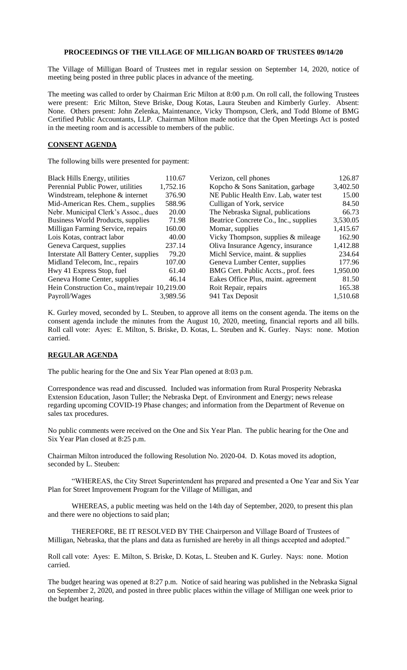## **PROCEEDINGS OF THE VILLAGE OF MILLIGAN BOARD OF TRUSTEES 09/14/20**

The Village of Milligan Board of Trustees met in regular session on September 14, 2020, notice of meeting being posted in three public places in advance of the meeting.

The meeting was called to order by Chairman Eric Milton at 8:00 p.m. On roll call, the following Trustees were present: Eric Milton, Steve Briske, Doug Kotas, Laura Steuben and Kimberly Gurley. Absent: None. Others present: John Zelenka, Maintenance, Vicky Thompson, Clerk, and Todd Blome of BMG Certified Public Accountants, LLP. Chairman Milton made notice that the Open Meetings Act is posted in the meeting room and is accessible to members of the public.

## **CONSENT AGENDA**

The following bills were presented for payment:

| <b>Black Hills Energy, utilities</b>          | 110.67   | Verizon, cell phones                  | 126.87   |
|-----------------------------------------------|----------|---------------------------------------|----------|
| Perennial Public Power, utilities             | 1,752.16 | Kopcho & Sons Sanitation, garbage     | 3,402.50 |
| Windstream, telephone & internet              | 376.90   | NE Public Health Env. Lab, water test | 15.00    |
| Mid-American Res. Chem., supplies             | 588.96   | Culligan of York, service             | 84.50    |
| Nebr. Municipal Clerk's Assoc., dues          | 20.00    | The Nebraska Signal, publications     | 66.73    |
| Business World Products, supplies             | 71.98    | Beatrice Concrete Co., Inc., supplies | 3,530.05 |
| Milligan Farming Service, repairs             | 160.00   | Momar, supplies                       | 1,415.67 |
| Lois Kotas, contract labor                    | 40.00    | Vicky Thompson, supplies $\&$ mileage | 162.90   |
| Geneva Carquest, supplies                     | 237.14   | Oliva Insurance Agency, insurance     | 1,412.88 |
| Interstate All Battery Center, supplies       | 79.20    | Michl Service, maint. & supplies      | 234.64   |
| Midland Telecom, Inc., repairs                | 107.00   | Geneva Lumber Center, supplies        | 177.96   |
| Hwy 41 Express Stop, fuel                     | 61.40    | BMG Cert. Public Accts., prof. fees   | 1,950.00 |
| Geneva Home Center, supplies                  | 46.14    | Eakes Office Plus, maint. agreement   | 81.50    |
| Hein Construction Co., maint/repair 10,219.00 |          | Roit Repair, repairs                  | 165.38   |
| Payroll/Wages                                 | 3,989.56 | 941 Tax Deposit                       | 1,510.68 |

K. Gurley moved, seconded by L. Steuben, to approve all items on the consent agenda. The items on the consent agenda include the minutes from the August 10, 2020, meeting, financial reports and all bills. Roll call vote: Ayes: E. Milton, S. Briske, D. Kotas, L. Steuben and K. Gurley. Nays: none. Motion carried.

## **REGULAR AGENDA**

The public hearing for the One and Six Year Plan opened at 8:03 p.m.

Correspondence was read and discussed. Included was information from Rural Prosperity Nebraska Extension Education, Jason Tuller; the Nebraska Dept. of Environment and Energy; news release regarding upcoming COVID-19 Phase changes; and information from the Department of Revenue on sales tax procedures.

No public comments were received on the One and Six Year Plan. The public hearing for the One and Six Year Plan closed at 8:25 p.m.

Chairman Milton introduced the following Resolution No. 2020-04. D. Kotas moved its adoption, seconded by L. Steuben:

"WHEREAS, the City Street Superintendent has prepared and presented a One Year and Six Year Plan for Street Improvement Program for the Village of Milligan, and

WHEREAS, a public meeting was held on the 14th day of September, 2020, to present this plan and there were no objections to said plan;

THEREFORE, BE IT RESOLVED BY THE Chairperson and Village Board of Trustees of Milligan, Nebraska, that the plans and data as furnished are hereby in all things accepted and adopted."

Roll call vote: Ayes: E. Milton, S. Briske, D. Kotas, L. Steuben and K. Gurley. Nays: none. Motion carried.

The budget hearing was opened at 8:27 p.m. Notice of said hearing was published in the Nebraska Signal on September 2, 2020, and posted in three public places within the village of Milligan one week prior to the budget hearing.